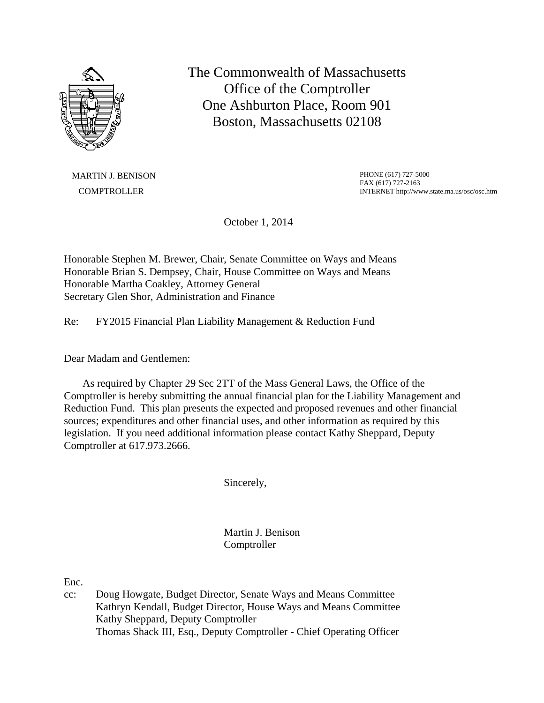

The Commonwealth of Massachusetts Office of the Comptroller One Ashburton Place, Room 901 Boston, Massachusetts 02108

MARTIN J. BENISON **COMPTROLLER** 

PHONE (617) 727-5000 FAX (617) 727-2163 INTERNET http://www.state.ma.us/osc/osc.htm

October 1, 2014

Honorable Stephen M. Brewer, Chair, Senate Committee on Ways and Means Honorable Brian S. Dempsey, Chair, House Committee on Ways and Means Honorable Martha Coakley, Attorney General Secretary Glen Shor, Administration and Finance

Re: FY2015 Financial Plan Liability Management & Reduction Fund

Dear Madam and Gentlemen:

 As required by Chapter 29 Sec 2TT of the Mass General Laws, the Office of the Comptroller is hereby submitting the annual financial plan for the Liability Management and Reduction Fund. This plan presents the expected and proposed revenues and other financial sources; expenditures and other financial uses, and other information as required by this legislation. If you need additional information please contact Kathy Sheppard, Deputy Comptroller at 617.973.2666.

Sincerely,

Martin J. Benison **Comptroller** 

Enc.

cc: Doug Howgate, Budget Director, Senate Ways and Means Committee Kathryn Kendall, Budget Director, House Ways and Means Committee Kathy Sheppard, Deputy Comptroller Thomas Shack III, Esq., Deputy Comptroller - Chief Operating Officer